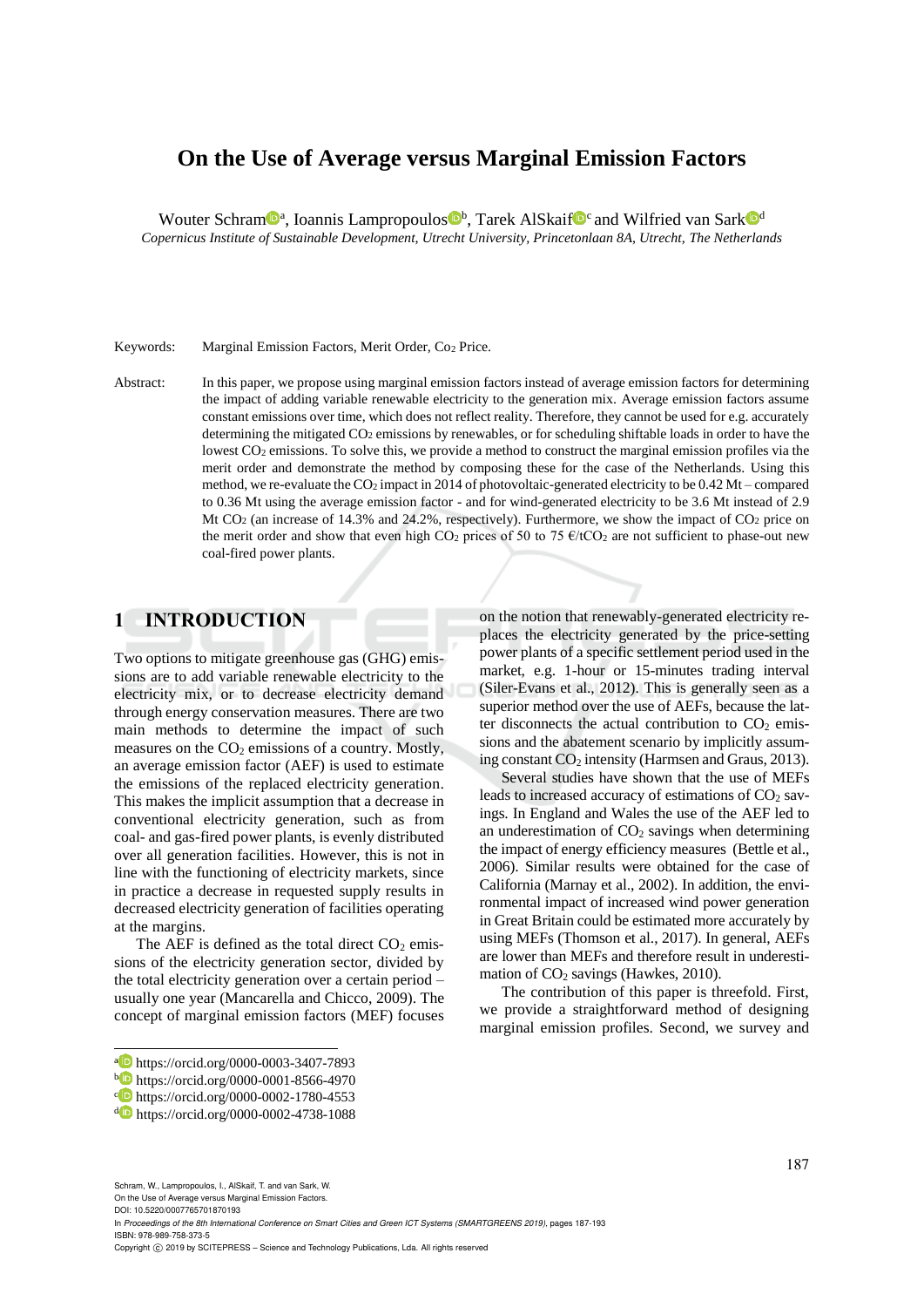# **On the Use of Average versus Marginal Emission Factors**

Wouter Schram<sup>n</sup>, Ioannis Lampropoulos<sup>n,</sup> Tarek AlSkaif<sup>n</sup><sup>c</sup> and Wilfried van Sark<sup>n</sup>

*Copernicus Institute of Sustainable Development, Utrecht University, Princetonlaan 8A, Utrecht, The Netherlands*

#### Keywords: Marginal Emission Factors, Merit Order, Co<sup>2</sup> Price.

Abstract: In this paper, we propose using marginal emission factors instead of average emission factors for determining the impact of adding variable renewable electricity to the generation mix. Average emission factors assume constant emissions over time, which does not reflect reality. Therefore, they cannot be used for e.g. accurately determining the mitigated CO<sub>2</sub> emissions by renewables, or for scheduling shiftable loads in order to have the lowest CO<sub>2</sub> emissions. To solve this, we provide a method to construct the marginal emission profiles via the merit order and demonstrate the method by composing these for the case of the Netherlands. Using this method, we re-evaluate the  $CO_2$  impact in 2014 of photovoltaic-generated electricity to be 0.42 Mt – compared to 0.36 Mt using the average emission factor - and for wind-generated electricity to be 3.6 Mt instead of 2.9 Mt CO<sub>2</sub> (an increase of 14.3% and 24.2%, respectively). Furthermore, we show the impact of CO<sub>2</sub> price on the merit order and show that even high CO<sub>2</sub> prices of 50 to 75  $\epsilon$ /tCO<sub>2</sub> are not sufficient to phase-out new coal-fired power plants.

### **1 INTRODUCTION**

Two options to mitigate greenhouse gas (GHG) emissions are to add variable renewable electricity to the electricity mix, or to decrease electricity demand through energy conservation measures. There are two main methods to determine the impact of such measures on the  $CO<sub>2</sub>$  emissions of a country. Mostly, an average emission factor (AEF) is used to estimate the emissions of the replaced electricity generation. This makes the implicit assumption that a decrease in conventional electricity generation, such as from coal- and gas-fired power plants, is evenly distributed over all generation facilities. However, this is not in line with the functioning of electricity markets, since in practice a decrease in requested supply results in decreased electricity generation of facilities operating at the margins.

The AEF is defined as the total direct  $CO<sub>2</sub>$  emissions of the electricity generation sector, divided by the total electricity generation over a certain period – usually one year (Mancarella and Chicco, 2009). The concept of marginal emission factors (MEF) focuses on the notion that renewably-generated electricity replaces the electricity generated by the price-setting power plants of a specific settlement period used in the market, e.g. 1-hour or 15-minutes trading interval (Siler-Evans et al., 2012). This is generally seen as a superior method over the use of AEFs, because the latter disconnects the actual contribution to  $CO<sub>2</sub>$  emissions and the abatement scenario by implicitly assuming constant  $CO<sub>2</sub>$  intensity (Harmsen and Graus, 2013).

Several studies have shown that the use of MEFs leads to increased accuracy of estimations of  $CO<sub>2</sub>$  savings. In England and Wales the use of the AEF led to an underestimation of  $CO<sub>2</sub>$  savings when determining the impact of energy efficiency measures (Bettle et al., 2006). Similar results were obtained for the case of California (Marnay et al., 2002). In addition, the environmental impact of increased wind power generation in Great Britain could be estimated more accurately by using MEFs (Thomson et al., 2017). In general, AEFs are lower than MEFs and therefore result in underestimation of  $CO<sub>2</sub>$  savings (Hawkes, 2010).

The contribution of this paper is threefold. First, we provide a straightforward method of designing marginal emission profiles. Second, we survey and

Schram, W., Lampropoulos, I., AlSkaif, T. and van Sark, W.

On the Use of Average versus Marginal Emission Factors. DOI: 10.5220/0007765701870193

 $\overline{a}$ 

In *Proceedings of the 8th International Conference on Smart Cities and Green ICT Systems (SMARTGREENS 2019)*, pages 187-193 ISBN: 978-989-758-373-5

a https://orcid.org/0000-0003-3407-7893

<sup>b</sup> https://orcid.org/0000-0001-8566-4970

c https://orcid.org/0000-0002-1780-4553

<sup>d</sup> https://orcid.org/0000-0002-4738-1088

Copyright © 2019 by SCITEPRESS - Science and Technology Publications, Lda. All rights reserved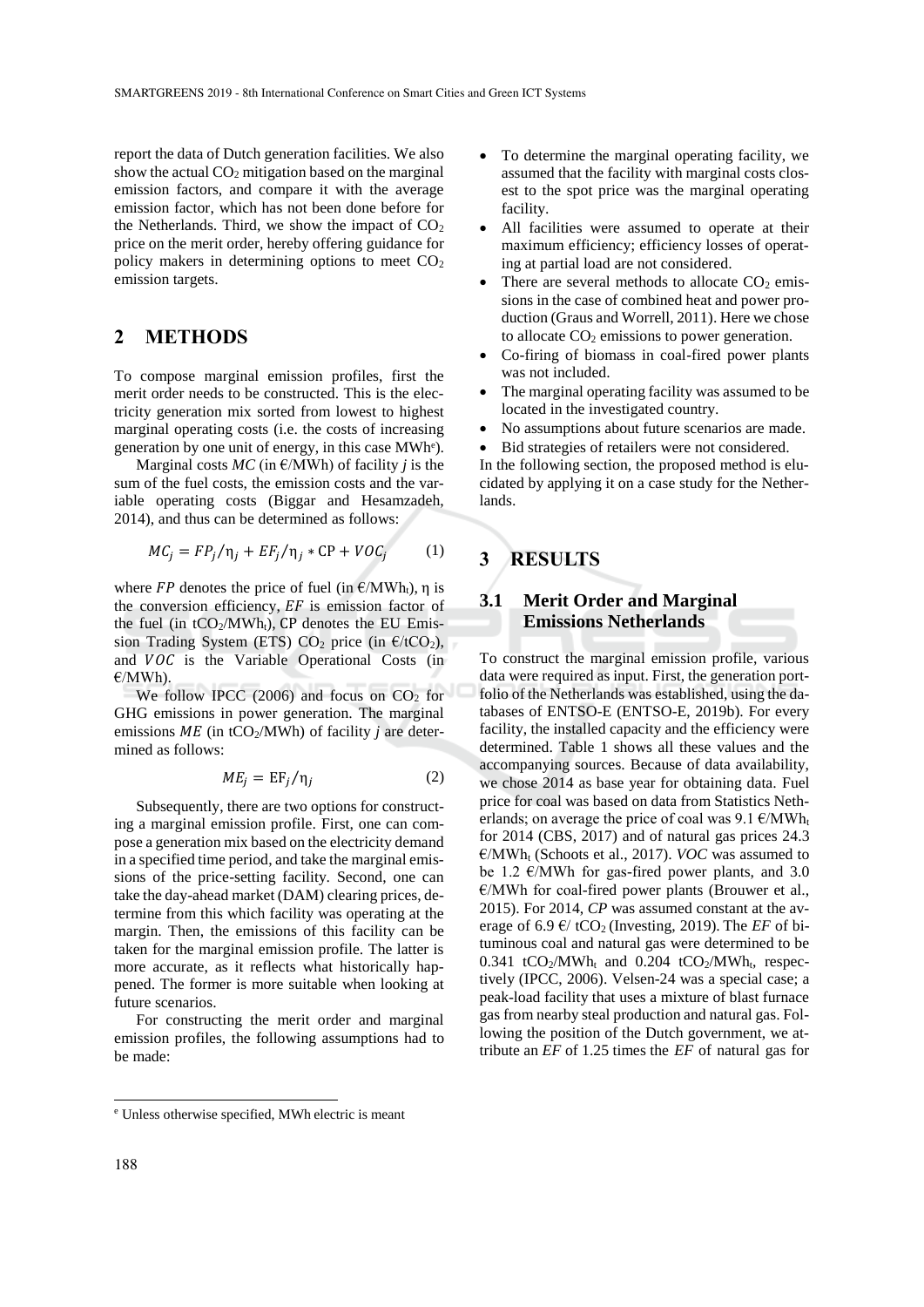report the data of Dutch generation facilities. We also show the actual  $CO<sub>2</sub>$  mitigation based on the marginal emission factors, and compare it with the average emission factor, which has not been done before for the Netherlands. Third, we show the impact of  $CO<sub>2</sub>$ price on the merit order, hereby offering guidance for policy makers in determining options to meet  $CO<sub>2</sub>$ emission targets.

### **2 METHODS**

To compose marginal emission profiles, first the merit order needs to be constructed. This is the electricity generation mix sorted from lowest to highest marginal operating costs (i.e. the costs of increasing generation by one unit of energy, in this case MWh<sup>e</sup>).

Marginal costs  $MC$  (in  $E/MWh$ ) of facility *j* is the sum of the fuel costs, the emission costs and the variable operating costs (Biggar and Hesamzadeh, 2014), and thus can be determined as follows:

$$
MC_j = FP_j/\eta_j + EF_j/\eta_j * CP + VOC_j \tag{1}
$$

where  $FP$  denotes the price of fuel (in  $E/MWh_t$ ), η is the conversion efficiency,  $EF$  is emission factor of the fuel (in  $tCO_2/MWh_t$ ), CP denotes the EU Emission Trading System (ETS)  $CO<sub>2</sub>$  price (in  $E/1CO<sub>2</sub>$ ), and  $VOC$  is the Variable Operational Costs (in €/MWh).

We follow IPCC (2006) and focus on  $CO<sub>2</sub>$  for GHG emissions in power generation. The marginal emissions  $ME$  (in tCO<sub>2</sub>/MWh) of facility *j* are determined as follows:

$$
ME_j = EF_j / \eta_j \tag{2}
$$

Subsequently, there are two options for constructing a marginal emission profile. First, one can compose a generation mix based on the electricity demand in a specified time period, and take the marginal emissions of the price-setting facility. Second, one can take the day-ahead market (DAM) clearing prices, determine from this which facility was operating at the margin. Then, the emissions of this facility can be taken for the marginal emission profile. The latter is more accurate, as it reflects what historically happened. The former is more suitable when looking at future scenarios.

For constructing the merit order and marginal emission profiles, the following assumptions had to be made:

- All facilities were assumed to operate at their maximum efficiency; efficiency losses of operating at partial load are not considered.
- There are several methods to allocate  $CO<sub>2</sub>$  emissions in the case of combined heat and power production (Graus and Worrell, 2011). Here we chose to allocate  $CO<sub>2</sub>$  emissions to power generation.
- Co-firing of biomass in coal-fired power plants was not included.
- The marginal operating facility was assumed to be located in the investigated country.
- No assumptions about future scenarios are made.
- Bid strategies of retailers were not considered.

In the following section, the proposed method is elucidated by applying it on a case study for the Netherlands.

# **3 RESULTS**

#### **3.1 Merit Order and Marginal Emissions Netherlands**

To construct the marginal emission profile, various data were required as input. First, the generation portfolio of the Netherlands was established, using the databases of ENTSO-E (ENTSO-E, 2019b). For every facility, the installed capacity and the efficiency were determined. Table 1 shows all these values and the accompanying sources. Because of data availability, we chose 2014 as base year for obtaining data. Fuel price for coal was based on data from Statistics Netherlands; on average the price of coal was  $9.1 \text{ }\epsilon/\text{MWh}_{t}$ for 2014 (CBS, 2017) and of natural gas prices 24.3 €/MWh<sup>t</sup> (Schoots et al., 2017). *VOC* was assumed to be 1.2  $\varepsilon$ /MWh for gas-fired power plants, and 3.0 €/MWh for coal-fired power plants (Brouwer et al., 2015). For 2014, *CP* was assumed constant at the average of 6.9  $\epsilon$ / tCO<sub>2</sub> (Investing, 2019). The *EF* of bituminous coal and natural gas were determined to be 0.341 tCO<sub>2</sub>/MWh<sub>t</sub> and 0.204 tCO<sub>2</sub>/MWh<sub>t</sub>, respectively (IPCC, 2006). Velsen-24 was a special case; a peak-load facility that uses a mixture of blast furnace gas from nearby steal production and natural gas. Following the position of the Dutch government, we attribute an *EF* of 1.25 times the *EF* of natural gas for

 $\overline{a}$ 

To determine the marginal operating facility, we assumed that the facility with marginal costs closest to the spot price was the marginal operating facility.

<sup>e</sup> Unless otherwise specified, MWh electric is meant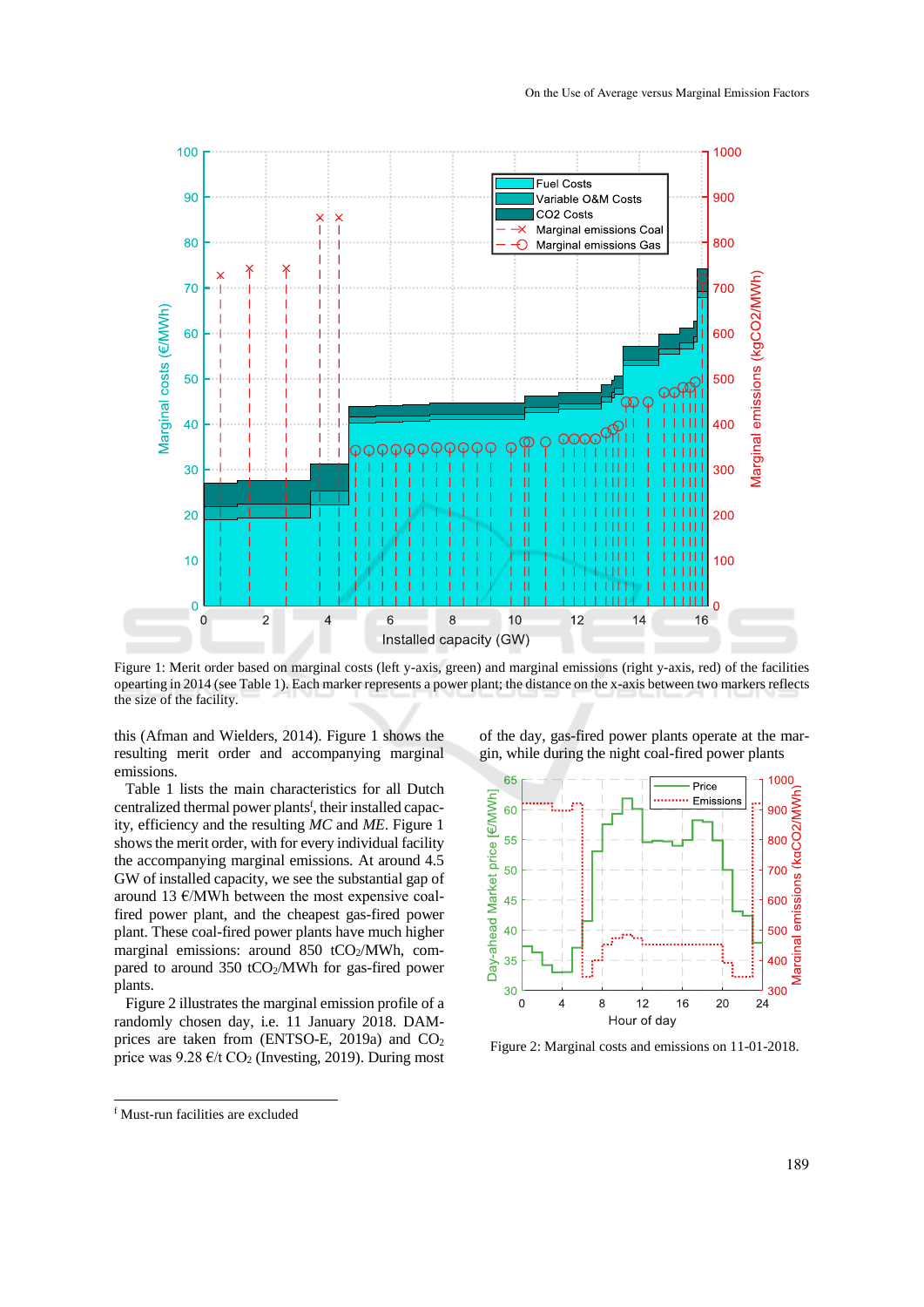

Figure 1: Merit order based on marginal costs (left y-axis, green) and marginal emissions (right y-axis, red) of the facilities opearting in 2014 (see Table 1). Each marker represents a power plant; the distance on the x-axis between two markers reflects the size of the facility.

this (Afman and Wielders, 2014). Figure 1 shows the resulting merit order and accompanying marginal emissions.

Table 1 lists the main characteristics for all Dutch centralized thermal power plants<sup>f</sup>, their installed capacity, efficiency and the resulting *MC* and *ME*. Figure 1 shows the merit order, with for every individual facility the accompanying marginal emissions. At around 4.5 GW of installed capacity, we see the substantial gap of around 13 €/MWh between the most expensive coalfired power plant, and the cheapest gas-fired power plant. These coal-fired power plants have much higher marginal emissions: around 850 tCO $_2$ /MWh, compared to around  $350 \text{ tCO}_2/\text{MWh}$  for gas-fired power plants.

Figure 2 illustrates the marginal emission profile of a randomly chosen day, i.e. 11 January 2018. DAMprices are taken from (ENTSO-E, 2019a) and CO<sup>2</sup> price was  $9.28 \text{ }\epsilon\text{/t CO}_2$  (Investing, 2019). During most

of the day, gas-fired power plants operate at the margin, while during the night coal-fired power plants



Figure 2: Marginal costs and emissions on 11-01-2018.

 $\overline{a}$ 

<sup>f</sup> Must-run facilities are excluded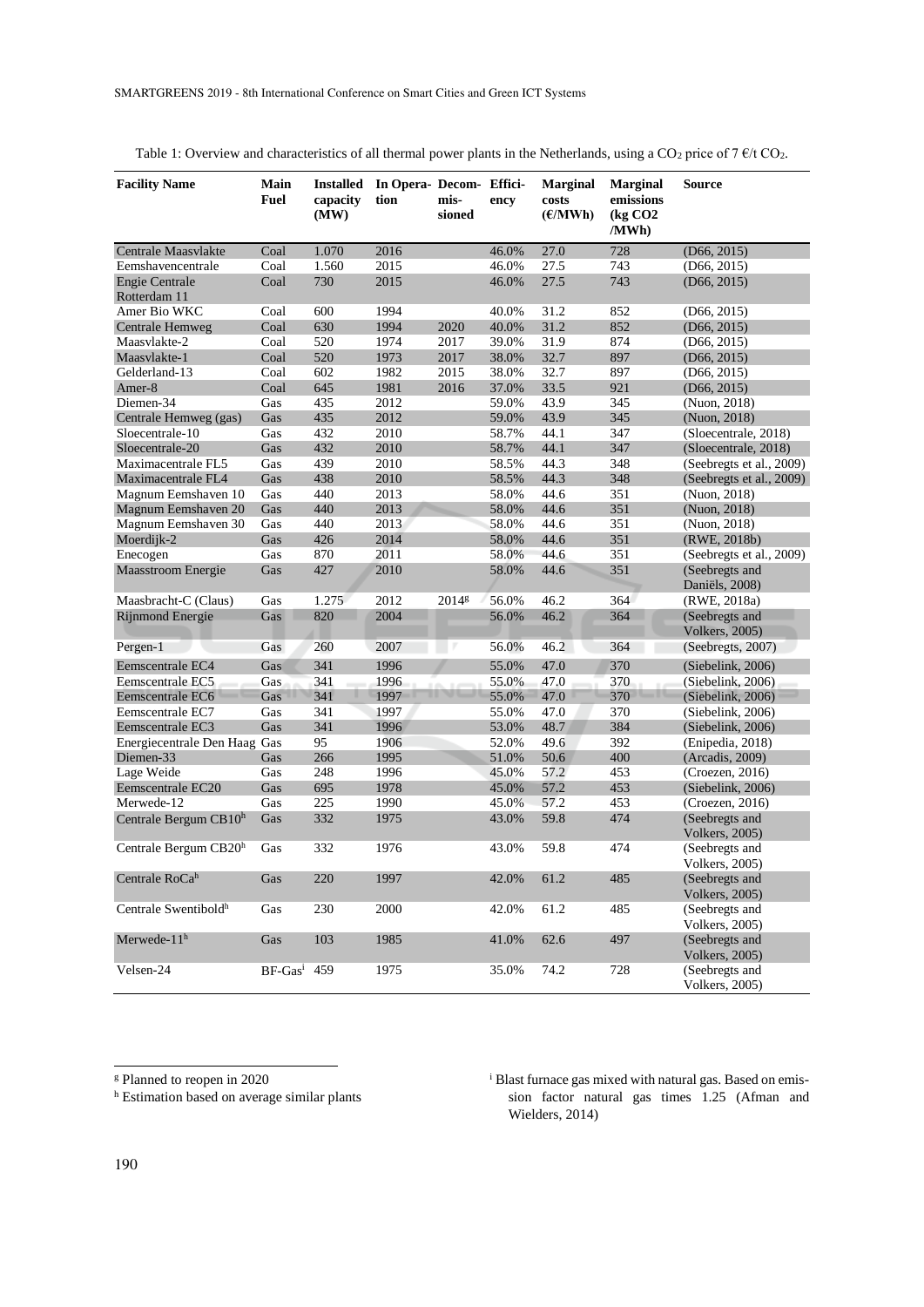| <b>Facility Name</b>             | Main<br>Fuel  | <b>Installed</b><br>capacity<br>(MW) | In Opera- Decom- Effici-<br>tion | mis-<br>sioned    | ency  | <b>Marginal</b><br>costs<br>(E/MWh) | <b>Marginal</b><br>emissions<br>$\left(\text{kg CO2}\right)$<br>/MWh) | Source                                   |
|----------------------------------|---------------|--------------------------------------|----------------------------------|-------------------|-------|-------------------------------------|-----------------------------------------------------------------------|------------------------------------------|
| Centrale Maasvlakte              | Coal          | 1.070                                | 2016                             |                   | 46.0% | 27.0                                | 728                                                                   | (D66, 2015)                              |
| Eemshavencentrale                | Coal          | 1.560                                | 2015                             |                   | 46.0% | 27.5                                | 743                                                                   | (D66, 2015)                              |
| <b>Engie Centrale</b>            | Coal          | 730                                  | 2015                             |                   | 46.0% | 27.5                                | 743                                                                   | (D66, 2015)                              |
| Rotterdam 11                     |               |                                      |                                  |                   |       |                                     |                                                                       |                                          |
| Amer Bio WKC                     | Coal          | 600                                  | 1994                             |                   | 40.0% | 31.2                                | 852                                                                   | (D66, 2015)                              |
| Centrale Hemweg                  | Coal          | 630                                  | 1994                             | 2020              | 40.0% | 31.2                                | 852                                                                   | (D66, 2015)                              |
| Maasvlakte-2                     | Coal          | 520                                  | 1974                             | 2017              | 39.0% | 31.9                                | 874                                                                   | (D66, 2015)                              |
| Maasvlakte-1                     | Coal          | 520                                  | 1973                             | 2017              | 38.0% | 32.7                                | 897                                                                   | (D66, 2015)                              |
| Gelderland-13                    | Coal          | 602                                  | 1982                             | 2015              | 38.0% | 32.7                                | 897                                                                   | (D66, 2015)                              |
| Amer-8                           | Coal          | 645                                  | 1981                             | 2016              | 37.0% | 33.5                                | 921                                                                   | (D66, 2015)                              |
| Diemen-34                        | Gas           | 435                                  | 2012                             |                   | 59.0% | 43.9                                | 345                                                                   | (Nuon, 2018)                             |
| Centrale Hemweg (gas)            | Gas           | 435                                  | 2012                             |                   | 59.0% | 43.9                                | 345                                                                   | (Nuon, 2018)                             |
| Sloecentrale-10                  | Gas           | 432                                  | 2010                             |                   | 58.7% | 44.1                                | 347                                                                   | (Sloecentrale, 2018)                     |
| Sloecentrale-20                  | Gas           | 432                                  | 2010                             |                   | 58.7% | 44.1                                | 347                                                                   | (Sloecentrale, 2018)                     |
| Maximacentrale FL5               | Gas           | 439                                  | 2010                             |                   | 58.5% | 44.3                                | 348                                                                   | (Seebregts et al., 2009)                 |
| Maximacentrale FL4               | Gas           | 438                                  | 2010                             |                   | 58.5% | 44.3                                | 348                                                                   | (Seebregts et al., 2009)                 |
| Magnum Eemshaven 10              | Gas           | 440                                  | 2013                             |                   | 58.0% | 44.6                                | 351                                                                   | (Nuon, 2018)                             |
| Magnum Eemshaven 20              | Gas           | 440                                  | 2013                             |                   | 58.0% | 44.6                                | 351                                                                   | (Nuon, 2018)                             |
| Magnum Eemshaven 30              | Gas           | 440                                  | 2013                             |                   | 58.0% | 44.6                                | 351                                                                   | (Nuon, 2018)                             |
| Moerdijk-2                       | Gas           | 426                                  | 2014                             |                   | 58.0% | 44.6                                | 351                                                                   | (RWE, 2018b)                             |
| Enecogen                         | Gas           | 870                                  | 2011                             |                   | 58.0% | 44.6                                | 351                                                                   | (Seebregts et al., 2009)                 |
| Maasstroom Energie               | Gas           | 427                                  | 2010                             |                   | 58.0% | 44.6                                | 351                                                                   | (Seebregts and<br>Daniëls, 2008)         |
| Maasbracht-C (Claus)             | Gas           | 1.275                                | 2012                             | 2014 <sup>g</sup> | 56.0% | 46.2                                | 364                                                                   | (RWE, 2018a)                             |
| <b>Rijnmond Energie</b>          | Gas           | 820                                  | 2004                             |                   | 56.0% | 46.2                                | 364                                                                   | (Seebregts and<br><b>Volkers</b> , 2005) |
| Pergen-1                         | Gas           | 260                                  | 2007                             |                   | 56.0% | 46.2                                | 364                                                                   | (Seebregts, 2007)                        |
| Eemscentrale EC4                 | Gas           | 341                                  | 1996                             |                   | 55.0% | 47.0                                | 370                                                                   | (Siebelink, 2006)                        |
| Eemscentrale EC5                 | Gas           | 341                                  | 1996                             |                   | 55.0% | 47.0                                | 370                                                                   | (Siebelink, 2006)                        |
| Eemscentrale EC6                 | Gas           | 341                                  | 1997                             |                   | 55.0% | 47.0                                | 370                                                                   | (Siebelink, 2006)                        |
| Eemscentrale EC7                 | Gas           | 341                                  | 1997                             |                   | 55.0% | 47.0                                | 370                                                                   | (Siebelink, 2006)                        |
| Eemscentrale EC3                 | Gas           | 341                                  | 1996                             |                   | 53.0% | 48.7                                | 384                                                                   | (Siebelink, 2006)                        |
| Energiecentrale Den Haag Gas     |               | 95                                   | 1906                             |                   | 52.0% | 49.6                                | 392                                                                   | (Enipedia, 2018)                         |
| Diemen-33                        | Gas           | 266                                  | 1995                             |                   | 51.0% | 50.6                                | 400                                                                   | (Arcadis, 2009)                          |
| Lage Weide                       | Gas           | 248                                  | 1996                             |                   | 45.0% | 57.2                                | 453                                                                   | (Croezen, 2016)                          |
| Eemscentrale EC20                | Gas           | 695                                  | 1978                             |                   | 45.0% | 57.2                                | 453                                                                   | (Siebelink, 2006)                        |
| Merwede-12                       | Gas           | 225                                  | 1990                             |                   | 45.0% | 57.2                                | 453                                                                   | (Croezen, 2016)                          |
| Centrale Bergum CB10h            | Gas           | 332                                  | 1975                             |                   | 43.0% | 59.8                                | 474                                                                   | (Seebregts and<br><b>Volkers</b> , 2005) |
| Centrale Bergum CB20h            | Gas           | 332                                  | 1976                             |                   | 43.0% | 59.8                                | 474                                                                   | (Seebregts and<br><b>Volkers</b> , 2005) |
| Centrale RoCah                   | Gas           | 220                                  | 1997                             |                   | 42.0% | 61.2                                | 485                                                                   | (Seebregts and<br><b>Volkers</b> , 2005) |
| Centrale Swentibold <sup>h</sup> | Gas           | 230                                  | 2000                             |                   | 42.0% | 61.2                                | 485                                                                   | (Seebregts and<br><b>Volkers</b> , 2005) |
| Merwede- $11h$                   | Gas           | 103                                  | 1985                             |                   | 41.0% | 62.6                                | 497                                                                   | (Seebregts and<br><b>Volkers</b> , 2005) |
| Velsen-24                        | $BF-Gasi$ 459 |                                      | 1975                             |                   | 35.0% | 74.2                                | 728                                                                   | (Seebregts and<br><b>Volkers</b> , 2005) |

Table 1: Overview and characteristics of all thermal power plants in the Netherlands, using a  $CO_2$  price of 7  $\ell$ /t  $CO_2$ .

<sup>i</sup> Blast furnace gas mixed with natural gas. Based on emission factor natural gas times 1.25 (Afman and Wielders, 2014)

 $\overline{a}$ 

<sup>g</sup> Planned to reopen in 2020

h Estimation based on average similar plants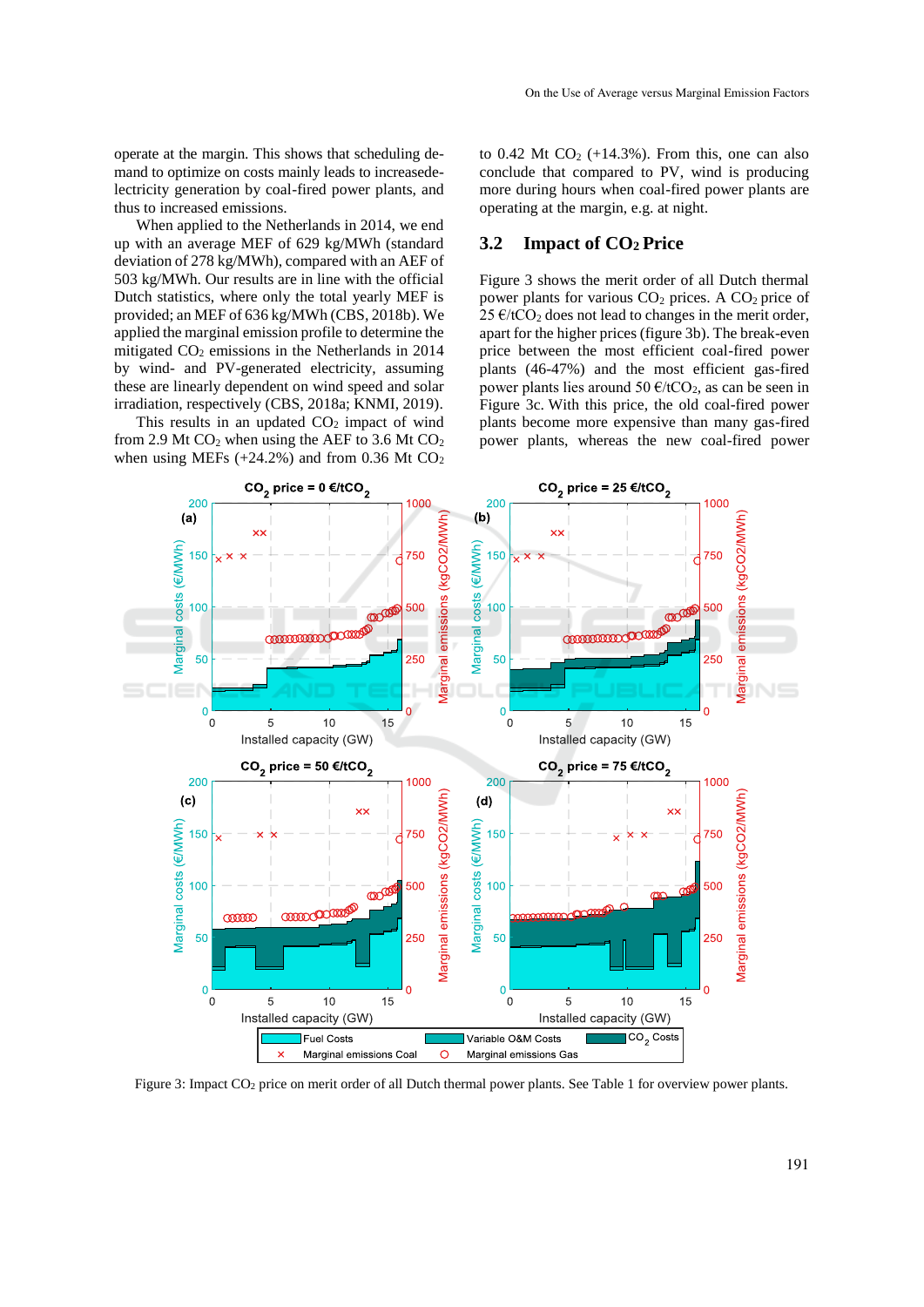operate at the margin. This shows that scheduling demand to optimize on costs mainly leads to increasedelectricity generation by coal-fired power plants, and thus to increased emissions.

When applied to the Netherlands in 2014, we end up with an average MEF of 629 kg/MWh (standard deviation of 278 kg/MWh), compared with an AEF of 503 kg/MWh. Our results are in line with the official Dutch statistics, where only the total yearly MEF is provided; an MEF of 636 kg/MWh (CBS, 2018b). We applied the marginal emission profile to determine the mitigated  $CO<sub>2</sub>$  emissions in the Netherlands in 2014 by wind- and PV-generated electricity, assuming these are linearly dependent on wind speed and solar irradiation, respectively (CBS, 2018a; KNMI, 2019).

This results in an updated  $CO<sub>2</sub>$  impact of wind from 2.9 Mt  $CO<sub>2</sub>$  when using the AEF to 3.6 Mt  $CO<sub>2</sub>$ when using MEFs  $(+24.2\%)$  and from 0.36 Mt CO<sub>2</sub> to  $0.42$  Mt  $CO<sub>2</sub>$  (+14.3%). From this, one can also conclude that compared to PV, wind is producing more during hours when coal-fired power plants are operating at the margin, e.g. at night.

#### **3.2 Impact of CO2 Price**

Figure 3 shows the merit order of all Dutch thermal power plants for various  $CO<sub>2</sub>$  prices. A  $CO<sub>2</sub>$  price of  $25 \text{ }\epsilon$ /tCO<sub>2</sub> does not lead to changes in the merit order, apart for the higher prices (figure 3b). The break-even price between the most efficient coal-fired power plants (46-47%) and the most efficient gas-fired power plants lies around 50  $\epsilon$ /tCO<sub>2</sub>, as can be seen in Figure 3c. With this price, the old coal-fired power plants become more expensive than many gas-fired power plants, whereas the new coal-fired power



Figure 3: Impact CO<sup>2</sup> price on merit order of all Dutch thermal power plants. See Table 1 for overview power plants.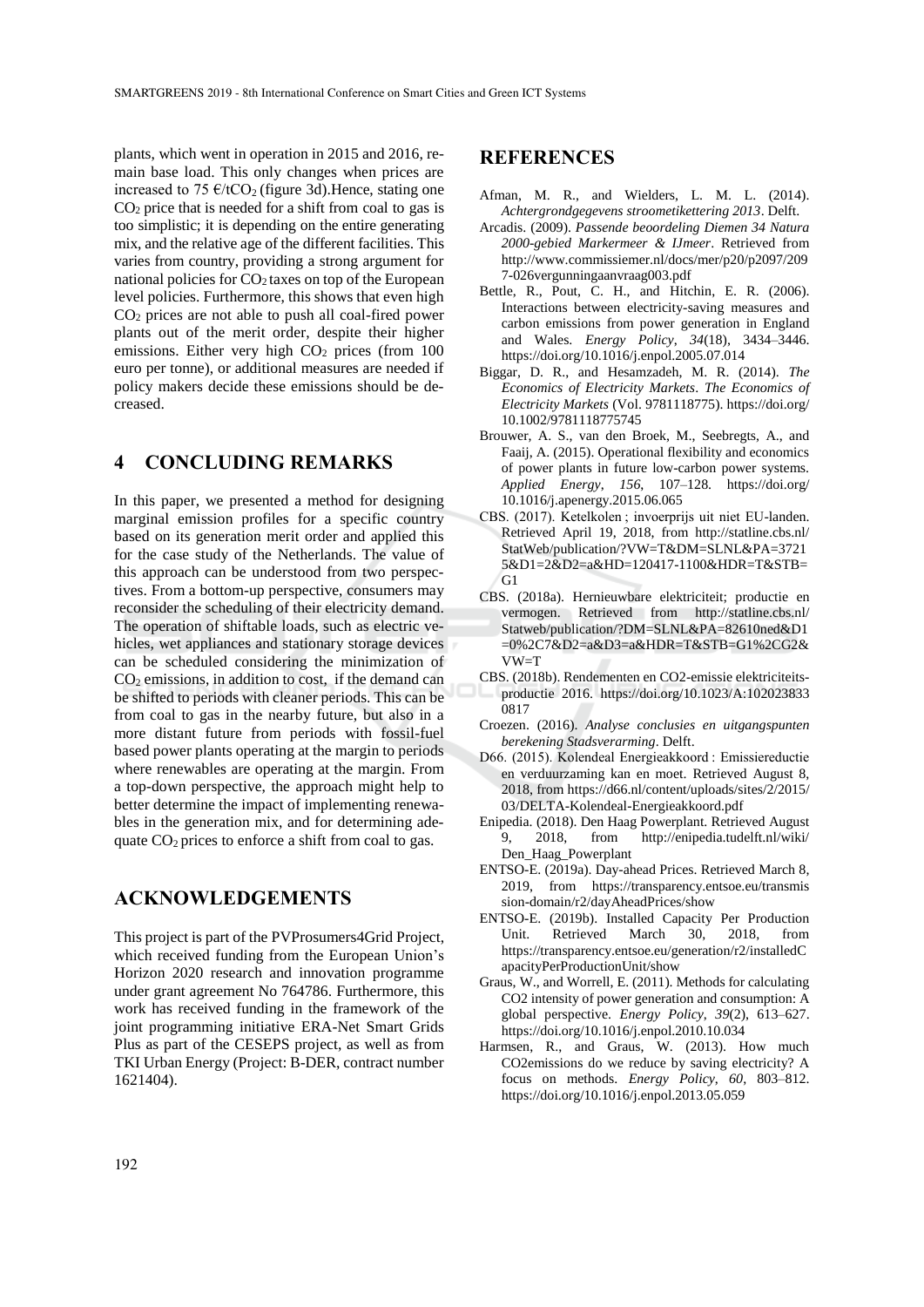plants, which went in operation in 2015 and 2016, remain base load. This only changes when prices are increased to 75  $\epsilon$ /tCO<sub>2</sub> (figure 3d). Hence, stating one  $CO<sub>2</sub>$  price that is needed for a shift from coal to gas is too simplistic; it is depending on the entire generating mix, and the relative age of the different facilities. This varies from country, providing a strong argument for national policies for  $CO<sub>2</sub>$  taxes on top of the European level policies. Furthermore, this shows that even high CO<sup>2</sup> prices are not able to push all coal-fired power plants out of the merit order, despite their higher emissions. Either very high  $CO<sub>2</sub>$  prices (from 100) euro per tonne), or additional measures are needed if policy makers decide these emissions should be decreased.

### **4 CONCLUDING REMARKS**

In this paper, we presented a method for designing marginal emission profiles for a specific country based on its generation merit order and applied this for the case study of the Netherlands. The value of this approach can be understood from two perspectives. From a bottom-up perspective, consumers may reconsider the scheduling of their electricity demand. The operation of shiftable loads, such as electric vehicles, wet appliances and stationary storage devices can be scheduled considering the minimization of  $CO<sub>2</sub>$  emissions, in addition to cost, if the demand can be shifted to periods with cleaner periods. This can be from coal to gas in the nearby future, but also in a more distant future from periods with fossil-fuel based power plants operating at the margin to periods where renewables are operating at the margin. From a top-down perspective, the approach might help to better determine the impact of implementing renewables in the generation mix, and for determining adequate  $CO<sub>2</sub>$  prices to enforce a shift from coal to gas.

### **ACKNOWLEDGEMENTS**

This project is part of the PVProsumers4Grid Project, which received funding from the European Union's Horizon 2020 research and innovation programme under grant agreement No 764786. Furthermore, this work has received funding in the framework of the joint programming initiative ERA-Net Smart Grids Plus as part of the CESEPS project, as well as from TKI Urban Energy (Project: B-DER, contract number 1621404).

#### **REFERENCES**

- Afman, M. R., and Wielders, L. M. L. (2014). *Achtergrondgegevens stroometikettering 2013*. Delft.
- Arcadis. (2009). *Passende beoordeling Diemen 34 Natura 2000-gebied Markermeer & IJmeer*. Retrieved from http://www.commissiemer.nl/docs/mer/p20/p2097/209 7-026vergunningaanvraag003.pdf
- Bettle, R., Pout, C. H., and Hitchin, E. R. (2006). Interactions between electricity-saving measures and carbon emissions from power generation in England and Wales. *Energy Policy*, *34*(18), 3434–3446. https://doi.org/10.1016/j.enpol.2005.07.014
- Biggar, D. R., and Hesamzadeh, M. R. (2014). *The Economics of Electricity Markets*. *The Economics of Electricity Markets* (Vol. 9781118775). https://doi.org/ 10.1002/9781118775745
- Brouwer, A. S., van den Broek, M., Seebregts, A., and Faaij, A. (2015). Operational flexibility and economics of power plants in future low-carbon power systems. *Applied Energy*, *156*, 107–128. https://doi.org/ 10.1016/j.apenergy.2015.06.065
- CBS. (2017). Ketelkolen ; invoerprijs uit niet EU-landen. Retrieved April 19, 2018, from http://statline.cbs.nl/ StatWeb/publication/?VW=T&DM=SLNL&PA=3721 5&D1=2&D2=a&HD=120417-1100&HDR=T&STB= G1
- CBS. (2018a). Hernieuwbare elektriciteit; productie en vermogen. Retrieved from http://statline.cbs.nl/ Statweb/publication/?DM=SLNL&PA=82610ned&D1 =0%2C7&D2=a&D3=a&HDR=T&STB=G1%2CG2& VW=T
- CBS. (2018b). Rendementen en CO2-emissie elektriciteitsproductie 2016. https://doi.org/10.1023/A:102023833 0817
- Croezen. (2016). *Analyse conclusies en uitgangspunten berekening Stadsverarming*. Delft.
- D66. (2015). Kolendeal Energieakkoord : Emissiereductie en verduurzaming kan en moet. Retrieved August 8, 2018, from https://d66.nl/content/uploads/sites/2/2015/ 03/DELTA-Kolendeal-Energieakkoord.pdf
- Enipedia. (2018). Den Haag Powerplant. Retrieved August 9, 2018, from http://enipedia.tudelft.nl/wiki/ Den\_Haag\_Powerplant
- ENTSO-E. (2019a). Day-ahead Prices. Retrieved March 8, 2019, from https://transparency.entsoe.eu/transmis sion-domain/r2/dayAheadPrices/show
- ENTSO-E. (2019b). Installed Capacity Per Production Unit. Retrieved March 30, 2018, from https://transparency.entsoe.eu/generation/r2/installedC apacityPerProductionUnit/show
- Graus, W., and Worrell, E. (2011). Methods for calculating CO2 intensity of power generation and consumption: A global perspective. *Energy Policy*, *39*(2), 613–627. https://doi.org/10.1016/j.enpol.2010.10.034
- Harmsen, R., and Graus, W. (2013). How much CO2emissions do we reduce by saving electricity? A focus on methods. *Energy Policy*, *60*, 803–812. https://doi.org/10.1016/j.enpol.2013.05.059